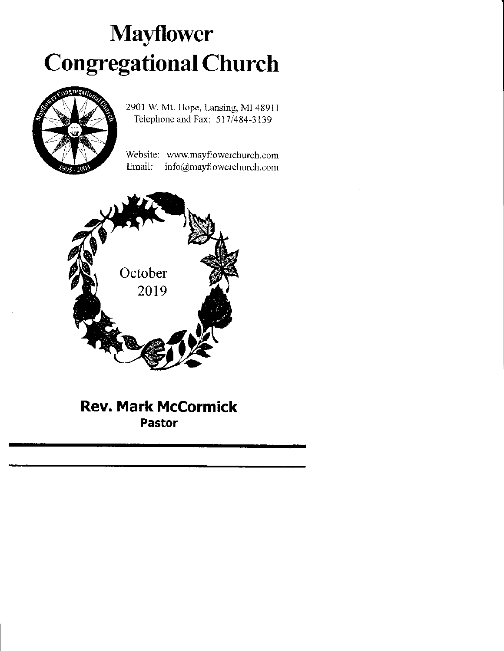# Mayflower Congregational Church



2901 W. Mt. Hope, Lansing, MI 48911 Telephone and Fax: 517/484-3139

Website: www.mayflowerchurch.com Email: info@mayflowerchurch.com



### Rev. Mark McCormick Pastor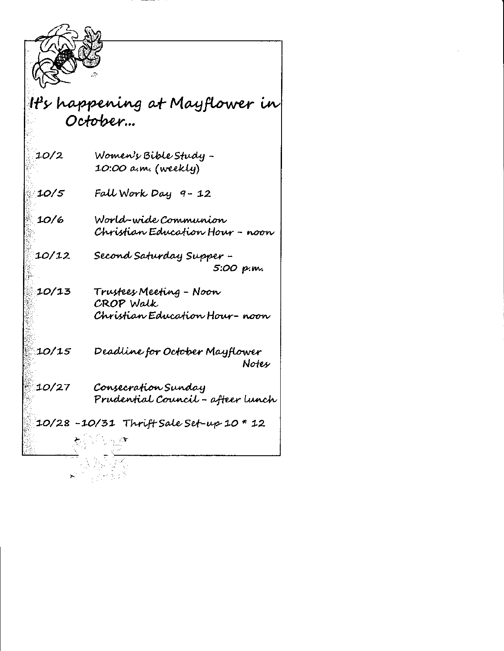

Notes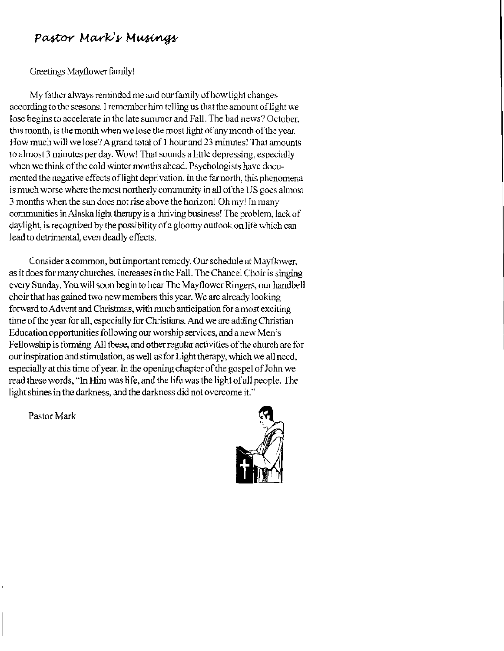### Pastor Mark's Musings

Greetings Mayflower family!

My father always reminded me and our family of how light changes according to the seasons. I remember him telling us that the amount of light we lose begins to accelerate in the late summer and Fall. The bad news? October, this month, is the month when we lose the most light of any month of the year. How much will we lose? A grand total of 1 hour and 23 minutes! That amounts to almost 3 minutes per day. Wow! That sounds a little depressing, especially when we think of the cold winter months ahead. Psychologists have documented the negative effects of light deprivation. In the far north, this phenomena is much worse where the most northerly community in all of the US goes almost 3 months when the sun does not rise above the horizon! Oh my! In many communities in Alaska light therapy is a thriving business! The problem, lack of daylight, is recognized by the possibility of a gloomy outlook on life which can lead to detrimental, even deadly effects.

Consider a common, but important remedy. Our schedule at Mayflower, as it does for many churches, increases in the Fall. The Chancel Choir is singing every Sunday. You will soon begin to hear The Mayflower Ringers, our handbell choir that has gained two new members this year. We are already looking forward to Advent and Christmas, with much anticipation for a most exciting time of the year for all, especially for Christians. And we are adding Christian Education opportunities following our worship services, and a new Men's Fellowship is forming. All these, and other regular activities of the church are for our inspiration and stimulation, as well as for Light therapy, which we all need, especially at this time of year. In the opening chapter of the gospel of John we read these words, "In Him was life, and the life was the light of all people. The light shines in the darkness, and the darkness did not overcome it."

Pastor Mark

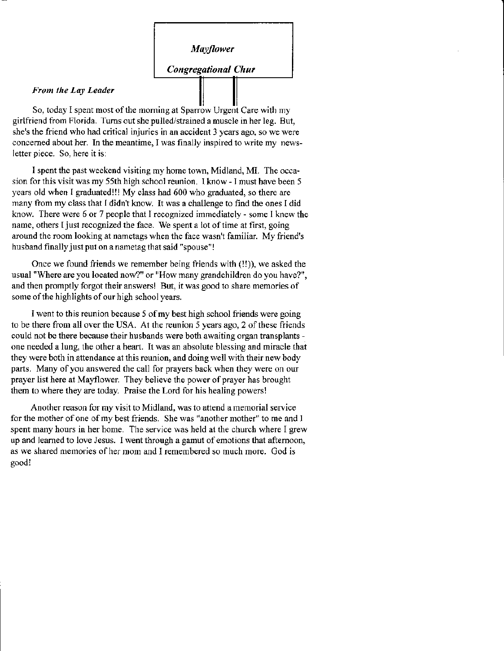#### **Mayflower**

#### **Congregational Chur**

#### From the Lay Leader

So, today I spent most of the morning at Sparrow Urgent Care with my girlfriend from Florida. Tums out she pulled/stained a muscle in her leg. But, she's the friend who had critical injuries in an accident 3 years ago, so we were concemed about her. In the meantime, I was finally inspired to write my newsletter piece. So, here it is:

I spent the past weekend visiting my home town, Midland, MI. The occasion for this visit was my 55th high school reunion. I know - I must have been 5 years old when I graduated!!! My class had 600 who graduated, so there are many from my class that I didn't know. It was a challenge to find the ones I did know. There were 6 or 7 people that I recognized immediately - some I knew the name, others I just recognized the face. We spent a lot of time at first, going around the room looking at nametags when the face wasn't familiar. My friend's husband finally just put on a nametag that said "spouse"!

Once we found friends we remember being ftiends with (!!)), we asked the usual "Where are you located now?" or "How many grandchildren do you have?", and then promptly forgot their answersl But, it was good to share memories of some of the highlights of our high school years.

I went to this reunion because 5 of my best high school friends were going to be there from all over the USA. At the reunion 5 years ago, 2 of these friends could not be there because their husbands were both awaiting organ transplants one needed a lung, the other a heart. It was an absolute blessirg and miracle that they were both in attendance at this reunion, and doing well with their new body parts. Many of you answered the call for prayers back when they were on our prayer list here at Mayflower. They believe the power of prayer has brought them to where they are today. Praise the Lord for his healing powers!

Another reason for my visit to Midland, was to attend a memorial service for the mother of one of my best friends. She was "another mother" to me and I spent many hours in her home. The service was held at the church where I grew up and learned to love Jesus. I went through a gamut of emotions that afternoon, as we shared memories of her mom and I remembered so much more. God is good!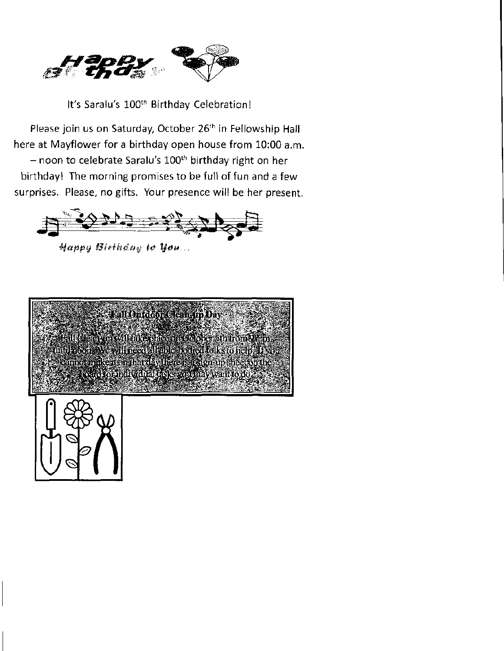

It's Saralu's 100<sup>th</sup> Birthday Celebration!

Please join us on Saturday, October 26<sup>th</sup> in Fellowship Hall here at Mayflower for a birthday open house from 10:00 a.m. - noon to celebrate Saralu's  $100<sup>th</sup>$  birthday right on her birthday! The morning promises to be full of fun and a few surprises. Please, no gifts. Your presence will be her present.



Happy Birtkday t**e Yeu**...



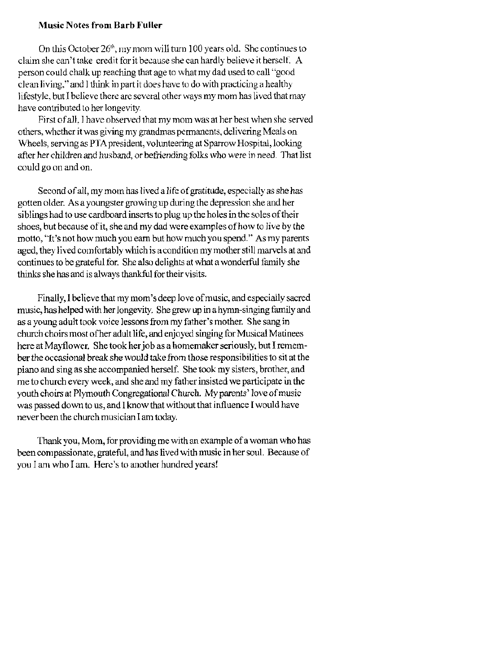#### NlusicNotes from Barb Fuller

On this October  $26<sup>th</sup>$ , my mom will turn 100 years old. She continues to claim she can't take credit for it because she can hardly believe it herself. A person could chalk up reaching that age to what my dad used to call "good clean living." and I think in part it does have to do with practicing a healthy lifestyle, but I believe there are several other ways my mom has lived that may have contributed to her longevity.

First of all. I have observed that my mom was at her best when she served others, whether it was giving my grandmas permanents, delivering Meals on Wheels, serving as PTA president, volunteering at Sparrow Hospital, looking after her children and husband, or befriending folks who were in need. That list could go on and on.

Second of all, my mom has lived a life of gratitude, especially as she has gotten older. As a youngster growing up during the depression she and her siblings had to use cardboard inserts to plug up the holes in the soles of their shoes, but because of it, she and my dad were examples of how to live by the motto, "It's not how much you earn but how much you spend." As my parents aged, they lived comfortably which is a condition my mother still marvels at and continues to be grateful for. She also delights at what a wonderful family she thinks she has and is always thankful for their visits.

Finally, I believe that my mom's deep love of music, and especially sacred music, has helped with her longevity. She grew up in a hymn-singing family and as a young adult took voice lessons from my father's mother. She saag in church choirs most of her adult life, and enjoyed singing for Musical Matinees here at Mayflower. She took her job as a homemaker seriously, but I remember the occasional break she would take from those responsibilities to sit at the piano and sing as she accompanied herself. She took my sisters, brother, and me to church every week, and she and my father insisted we participate in the youth choirs at Plymouth Congregational Church. My parents' love of music was passed down to us, and I know that without that influence I would have never been the church musician I am today.

Thank you, Mom, for providing me with an example of a woman who has been compassionate, grateful, and has lived with music in her soul. Because of you I am who I am. Here's to another hundred years!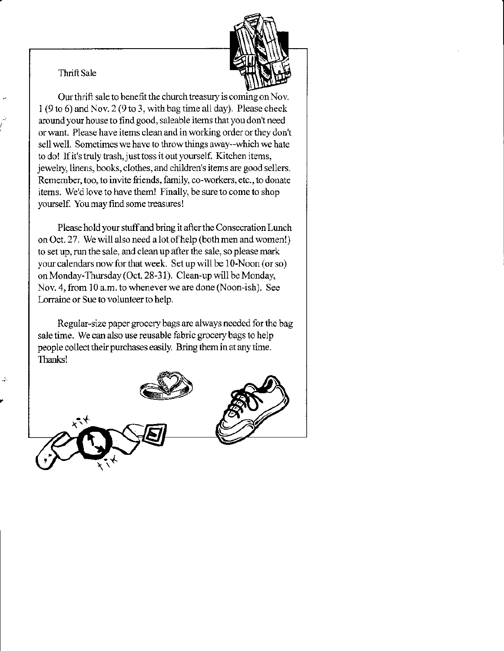#### Thrift Sale



Our thrift sale to benefit the church treasury is coming on Nov.  $1(9 to 6)$  and Nov.  $2(9 to 3, with bag time all day)$ . Please check around your house to find good, saleable items that you don't need or want. Please have items clean and in working order or they don't sell well. Sometimes we have to throw things away-which we hate to do! If it's truly trash, just toss it out yourself. Kitchen items, jewelry, linens, books, clothes, and children's items are good sellers. Remember, too, to invite friends, family, co-workers, etc., to donate items. We'd love to have theml Finally, be sure to come to shop yourself. You may find some treasures!

Please hold your stuffand bring it after the Consecration Lunch on Oct, 27. We will also need a lot of help (both men and women!) to set up, run the sale. and clean up after the sale. so please mark your calendars now for that week. Set up will be 10-Noon (or so) on Monday-Thursday (Oct. 28-31). Clean-up will be Monday, Nov. 4, from 10 a.m. to whenever we are done (Noon-ish). See Lorraine or Sue to volunteer to help.

Regular-size paper grocery bags are always needed for the bag sale time. We can also use reusable fabric grocery bags to help people collect their purchases easily. Bring them in at any time. Thanks!

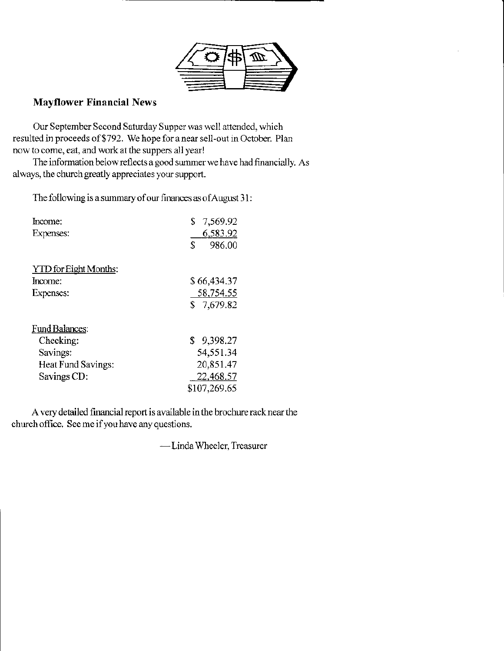

#### **Mayflower Financial News**

Our September Second Saturday Supper was well attended, which resulted in proceeds of \$792. We hope for a near sell-out in October. Plan now to come, eat, and work at the suppers all year!

The information below reflects a good summer we have had financially. As always, the church greatly appreciates your support.

The following is a summary of our finances as of August 31:

| Income:                      | 7,569.92     |  |  |
|------------------------------|--------------|--|--|
| Expenses:                    | 6,583.92     |  |  |
|                              | \$<br>986.00 |  |  |
| <b>YTD</b> for Eight Months: |              |  |  |
| Income:                      | \$ 66,434.37 |  |  |
| Expenses:                    | 58,754.55    |  |  |
|                              | \$7,679.82   |  |  |
| Fund Balances:               |              |  |  |
| Checking:                    | \$9,398.27   |  |  |
| Savings:                     | 54,551.34    |  |  |
| <b>Heat Fund Savings:</b>    | 20,851.47    |  |  |
| Savings CD:                  | 22,468.57    |  |  |
|                              | \$107,269.65 |  |  |

A very detailed financial report is available in the brochure rack near the church office. See me if you have any questions.

-Linda Wheeler, Treasurer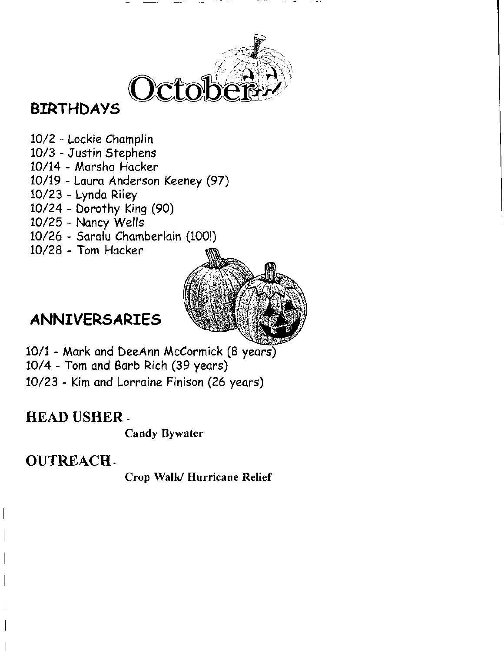

# BIRTHDAYS

- 10/2 Lockie Champlin
- 10/3 Justin Stephens
- 10/14 Marsha Hacker
- 10/19 Laura Anderson Keeney (97)
- 10/23 Lynda Riley
- 10/24 Dorothy King (90)
- 10/25 Nancy Well<mark>s</mark>
- 10/26 Saralu Chamberlain (100!)
- 10/28 Tom Hacke<mark>r</mark>



# ANNTVERSARIES

- 10/1 Mork ond DeeAnn McCormick (8 yeors)
- 10/4 Ton ond Borb Rich (39 yeors)
- 10/23 Kin ond Lorroine Finison (25 yeors)

### HEAD USHER -

Candy Bywater

## OUTREACH.

Crop Walk/ Hurricane Relief